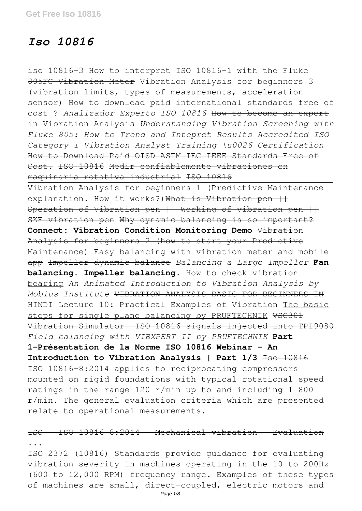# *Iso 10816*

iso 10816-3 How to interpret ISO 10816-1 with the Fluke 805FC Vibration Meter Vibration Analysis for beginners 3 (vibration limits, types of measurements, acceleration sensor) How to download paid international standards free of cost ? *Analizador Experto ISO 10816* How to become an expert in Vibration Analysis *Understanding Vibration Screening with Fluke 805: How to Trend and Intepret Results Accredited ISO Category I Vibration Analyst Training \u0026 Certification* How to Download Paid OISD ASTM IEC IEEE Standards Free of Cost. ISO 10816 Medir confiablemente vibraciones en maquinaria rotativa industrial ISO 10816

Vibration Analysis for beginners 1 (Predictive Maintenance explanation. How it works?) What is Vibration pen ++ Operation of Vibration pen || Working of vibration pen || SKF vibration pen Why dynamic balancing is so important? **Connect: Vibration Condition Monitoring Demo** Vibration Analysis for beginners 2 (how to start your Predictive Maintenance) Easy balancing with vibration meter and mobile app Impeller dynamic balance *Balancing a Large Impeller* **Fan balancing. Impeller balancing.** How to check vibration bearing *An Animated Introduction to Vibration Analysis by Mobius Institute* VIBRATION ANALYSIS BASIC FOR BEGINNERS IN HINDI Lecture 10: Practical Examples of Vibration The basic steps for single plane balancing by PRUFTECHNIK VSG301 Vibration Simulator- ISO 10816 signals injected into TPI9080 *Field balancing with VIBXPERT II by PRUFTECHNIK* **Part 1-Présentation de la Norme ISO 10816 Webinar - An** Introduction to Vibration Analysis | Part 1/3 1so 10816 ISO 10816-8:2014 applies to reciprocating compressors mounted on rigid foundations with typical rotational speed ratings in the range 120 r/min up to and including 1 800 r/min. The general evaluation criteria which are presented relate to operational measurements.

ISO - ISO 10816-8:2014 - Mechanical vibration — Evaluation ... ISO 2372 (10816) Standards provide guidance for evaluating

vibration severity in machines operating in the 10 to 200Hz (600 to 12,000 RPM) frequency range. Examples of these types of machines are small, direct-coupled, electric motors and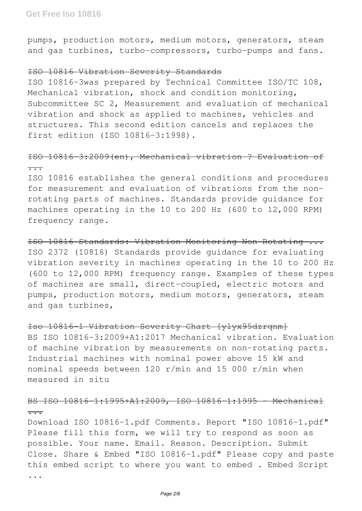pumps, production motors, medium motors, generators, steam and gas turbines, turbo-compressors, turbo-pumps and fans.

#### ISO 10816 Vibration Severity Standards

ISO 10816-3was prepared by Technical Committee ISO/TC 108, Mechanical vibration, shock and condition monitoring, Subcommittee SC 2, Measurement and evaluation of mechanical vibration and shock as applied to machines, vehicles and structures. This second edition cancels and replaces the first edition (ISO 10816-3:1998).

# ISO 10816-3:2009(en), Mechanical vibration ? Evaluation of ...

ISO 10816 establishes the general conditions and procedures for measurement and evaluation of vibrations from the nonrotating parts of machines. Standards provide guidance for machines operating in the 10 to 200 Hz (600 to 12,000 RPM) frequency range.

ISO 10816 Standards: Vibration Monitoring Non Rotating ... ISO 2372 (10816) Standards provide guidance for evaluating vibration severity in machines operating in the 10 to 200 Hz (600 to 12,000 RPM) frequency range. Examples of these types of machines are small, direct-coupled, electric motors and pumps, production motors, medium motors, generators, steam and gas turbines,

## Iso 10816-1 Vibration Severity Chart [ylyx95dzrqnm]

BS ISO 10816-3:2009+A1:2017 Mechanical vibration. Evaluation of machine vibration by measurements on non-rotating parts. Industrial machines with nominal power above 15 kW and nominal speeds between 120 r/min and 15 000 r/min when measured in situ

## BS ISO 10816 1:1995+A1:2009, ISO 10816 1:1995 - Mechanical ...

Download ISO 10816-1.pdf Comments. Report "ISO 10816-1.pdf" Please fill this form, we will try to respond as soon as possible. Your name. Email. Reason. Description. Submit Close. Share & Embed "ISO 10816-1.pdf" Please copy and paste this embed script to where you want to embed . Embed Script ...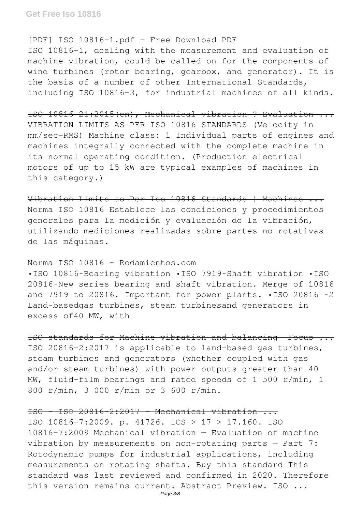#### [PDF] ISO 10816-1.pdf - Free Download PDF

ISO 10816-1, dealing with the measurement and evaluation of machine vibration, could be called on for the components of wind turbines (rotor bearing, gearbox, and generator). It is the basis of a number of other International Standards, including ISO 10816-3, for industrial machines of all kinds.

# ISO 10816-21:2015(en), Mechanical vibration ? Evaluation ... VIBRATION LIMITS AS PER ISO 10816 STANDARDS (Velocity in mm/sec-RMS) Machine class: 1 Individual parts of engines and machines integrally connected with the complete machine in its normal operating condition. (Production electrical motors of up to 15 kW are typical examples of machines in this category.)

Vibration Limits as Per Iso 10816 Standards | Machines Norma ISO 10816 Establece las condiciones y procedimientos generales para la medición y evaluación de la vibración, utilizando mediciones realizadas sobre partes no rotativas de las máquinas.

## Norma ISO 10816 - Rodamientos.com

•ISO 10816‐Bearing vibration •ISO 7919‐Shaft vibration •ISO 20816‐New series bearing and shaft vibration. Merge of 10816 and 7919 to 20816. Important for power plants. •ISO 20816 ‐2 Land‐basedgas turbines, steam turbinesand generators in excess of40 MW, with

ISO standards for Machine vibration and balancing –Focus ... ISO 20816-2:2017 is applicable to land-based gas turbines, steam turbines and generators (whether coupled with gas and/or steam turbines) with power outputs greater than 40 MW, fluid-film bearings and rated speeds of 1 500 r/min, 1 800 r/min, 3 000 r/min or 3 600 r/min.

## ISO - ISO 20816-2:2017 - Mechanical vibration ...

ISO 10816-7:2009. p. 41726. ICS > 17 > 17.160. ISO 10816-7:2009 Mechanical vibration — Evaluation of machine vibration by measurements on non-rotating parts — Part 7: Rotodynamic pumps for industrial applications, including measurements on rotating shafts. Buy this standard This standard was last reviewed and confirmed in 2020. Therefore this version remains current. Abstract Preview. ISO ...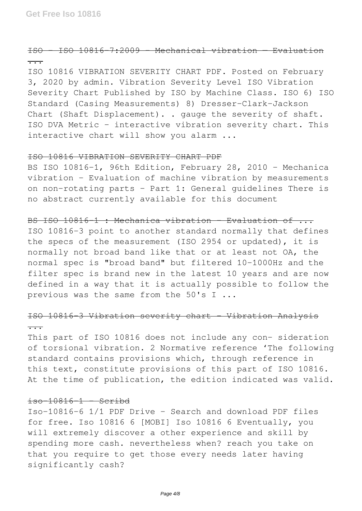## ISO - ISO 10816-7:2009 - Mechanical vibration — Evaluation ...

ISO 10816 VIBRATION SEVERITY CHART PDF. Posted on February 3, 2020 by admin. Vibration Severity Level ISO Vibration Severity Chart Published by ISO by Machine Class. ISO 6) ISO Standard (Casing Measurements) 8) Dresser-Clark-Jackson Chart (Shaft Displacement). . gauge the severity of shaft. ISO DVA Metric – interactive vibration severity chart. This interactive chart will show you alarm ...

#### ISO 10816 VIBRATION SEVERITY CHART PDF

BS ISO 10816-1, 96th Edition, February 28, 2010 - Mechanica vibration - Evaluation of machine vibration by measurements on non-rotating parts - Part 1: General guidelines There is no abstract currently available for this document

BS ISO 10816-1 : Mechanica vibration - Evaluation of ... ISO 10816-3 point to another standard normally that defines the specs of the measurement (ISO 2954 or updated), it is normally not broad band like that or at least not OA, the normal spec is "broad band" but filtered 10-1000Hz and the filter spec is brand new in the latest 10 years and are now defined in a way that it is actually possible to follow the previous was the same from the 50's I ...

# ISO 10816-3 Vibration severity chart - Vibration Analysis ...

This part of ISO 10816 does not include any con- sideration of torsional vibration. 2 Normative reference 'The following standard contains provisions which, through reference in this text, constitute provisions of this part of ISO 10816. At the time of publication, the edition indicated was valid.

## iso-10816-1 - Scribd

Iso-10816-6 1/1 PDF Drive - Search and download PDF files for free. Iso 10816 6 [MOBI] Iso 10816 6 Eventually, you will extremely discover a other experience and skill by spending more cash. nevertheless when? reach you take on that you require to get those every needs later having significantly cash?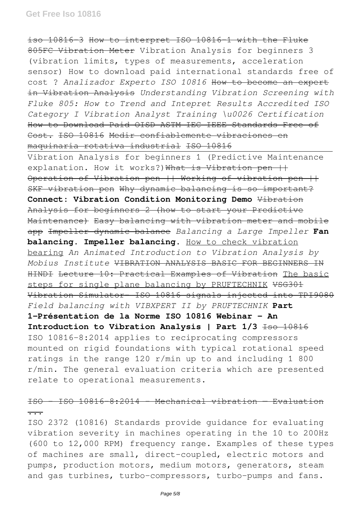iso 10816-3 How to interpret ISO 10816-1 with the Fluke 805FC Vibration Meter Vibration Analysis for beginners 3 (vibration limits, types of measurements, acceleration sensor) How to download paid international standards free of cost ? *Analizador Experto ISO 10816* How to become an expert in Vibration Analysis *Understanding Vibration Screening with Fluke 805: How to Trend and Intepret Results Accredited ISO Category I Vibration Analyst Training \u0026 Certification* How to Download Paid OISD ASTM IEC IEEE Standards Free of Cost. ISO 10816 Medir confiablemente vibraciones en maquinaria rotativa industrial ISO 10816

Vibration Analysis for beginners 1 (Predictive Maintenance explanation. How it works?) What is Vibration pen  $++$ Operation of Vibration pen || Working of vibration pen || SKF vibration pen Why dynamic balancing is so important? **Connect: Vibration Condition Monitoring Demo** Vibration Analysis for beginners 2 (how to start your Predictive Maintenance) Easy balancing with vibration meter and mobile app Impeller dynamic balance *Balancing a Large Impeller* **Fan balancing. Impeller balancing.** How to check vibration bearing *An Animated Introduction to Vibration Analysis by Mobius Institute* VIBRATION ANALYSIS BASIC FOR BEGINNERS IN HINDI Lecture 10: Practical Examples of Vibration The basic steps for single plane balancing by PRUFTECHNIK VSG301 Vibration Simulator- ISO 10816 signals injected into TPI9080 *Field balancing with VIBXPERT II by PRUFTECHNIK* **Part 1-Présentation de la Norme ISO 10816 Webinar - An** Introduction to Vibration Analysis | Part 1/3 <del>Iso 10816</del> ISO 10816-8:2014 applies to reciprocating compressors mounted on rigid foundations with typical rotational speed ratings in the range 120 r/min up to and including 1 800 r/min. The general evaluation criteria which are presented relate to operational measurements.

# ISO - ISO 10816-8:2014 - Mechanical vibration — Evaluation ...

ISO 2372 (10816) Standards provide guidance for evaluating vibration severity in machines operating in the 10 to 200Hz (600 to 12,000 RPM) frequency range. Examples of these types of machines are small, direct-coupled, electric motors and pumps, production motors, medium motors, generators, steam and gas turbines, turbo-compressors, turbo-pumps and fans.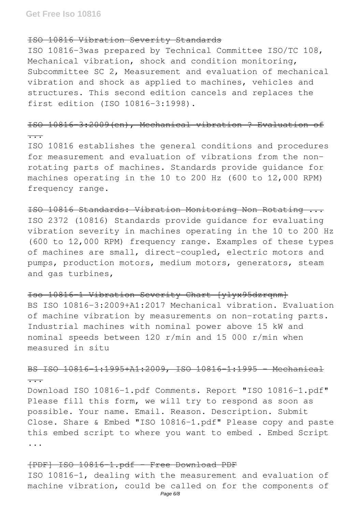#### ISO 10816 Vibration Severity Standards

ISO 10816-3was prepared by Technical Committee ISO/TC 108, Mechanical vibration, shock and condition monitoring, Subcommittee SC 2, Measurement and evaluation of mechanical vibration and shock as applied to machines, vehicles and structures. This second edition cancels and replaces the first edition (ISO 10816-3:1998).

# ISO 10816-3:2009(en), Mechanical vibration ? Evaluation of

...

ISO 10816 establishes the general conditions and procedures for measurement and evaluation of vibrations from the nonrotating parts of machines. Standards provide guidance for machines operating in the 10 to 200 Hz (600 to 12,000 RPM) frequency range.

ISO 10816 Standards: Vibration Monitoring Non Rotating ... ISO 2372 (10816) Standards provide guidance for evaluating vibration severity in machines operating in the 10 to 200 Hz (600 to 12,000 RPM) frequency range. Examples of these types of machines are small, direct-coupled, electric motors and pumps, production motors, medium motors, generators, steam and gas turbines,

## Iso 10816-1 Vibration Severity Chart [ylyx95dzrqnm]

BS ISO 10816-3:2009+A1:2017 Mechanical vibration. Evaluation of machine vibration by measurements on non-rotating parts. Industrial machines with nominal power above 15 kW and nominal speeds between 120 r/min and 15 000 r/min when measured in situ

BS ISO 10816 1:1995+A1:2009, ISO 10816 1:1995 - Mechanical ...

Download ISO 10816-1.pdf Comments. Report "ISO 10816-1.pdf" Please fill this form, we will try to respond as soon as possible. Your name. Email. Reason. Description. Submit Close. Share & Embed "ISO 10816-1.pdf" Please copy and paste this embed script to where you want to embed . Embed Script ...

[PDF] ISO 10816-1.pdf - Free Download PDF ISO 10816-1, dealing with the measurement and evaluation of machine vibration, could be called on for the components of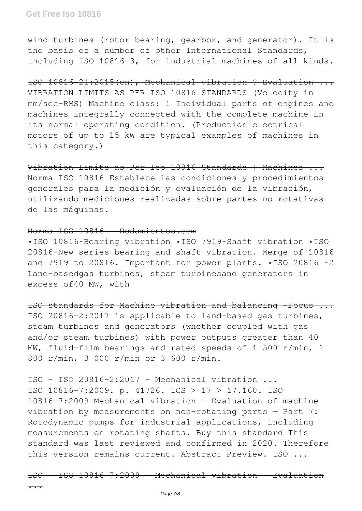wind turbines (rotor bearing, gearbox, and generator). It is the basis of a number of other International Standards, including ISO 10816-3, for industrial machines of all kinds.

ISO 10816-21:2015(en), Mechanical vibration ? Evaluation ... VIBRATION LIMITS AS PER ISO 10816 STANDARDS (Velocity in mm/sec-RMS) Machine class: 1 Individual parts of engines and machines integrally connected with the complete machine in its normal operating condition. (Production electrical motors of up to 15 kW are typical examples of machines in this category.)

Vibration Limits as Per Iso 10816 Standards | Machines ... Norma ISO 10816 Establece las condiciones y procedimientos generales para la medición y evaluación de la vibración, utilizando mediciones realizadas sobre partes no rotativas de las máquinas.

## Norma ISO 10816 - Rodamientos.com

•ISO 10816‐Bearing vibration •ISO 7919‐Shaft vibration •ISO 20816‐New series bearing and shaft vibration. Merge of 10816 and 7919 to 20816. Important for power plants. •ISO 20816 ‐2 Land-basedgas turbines, steam turbinesand generators in excess of40 MW, with

ISO standards for Machine vibration and balancing –Focus ... ISO 20816-2:2017 is applicable to land-based gas turbines, steam turbines and generators (whether coupled with gas and/or steam turbines) with power outputs greater than 40 MW, fluid-film bearings and rated speeds of 1 500 r/min, 1 800 r/min, 3 000 r/min or 3 600 r/min.

ISO - ISO 20816-2:2017 - Mechanical vibration ...

ISO 10816-7:2009. p. 41726. ICS > 17 > 17.160. ISO 10816-7:2009 Mechanical vibration — Evaluation of machine vibration by measurements on non-rotating parts — Part 7: Rotodynamic pumps for industrial applications, including measurements on rotating shafts. Buy this standard This standard was last reviewed and confirmed in 2020. Therefore this version remains current. Abstract Preview. ISO ...

ISO - ISO 10816-7:2009 - Mechanical vibration — Evaluation

...